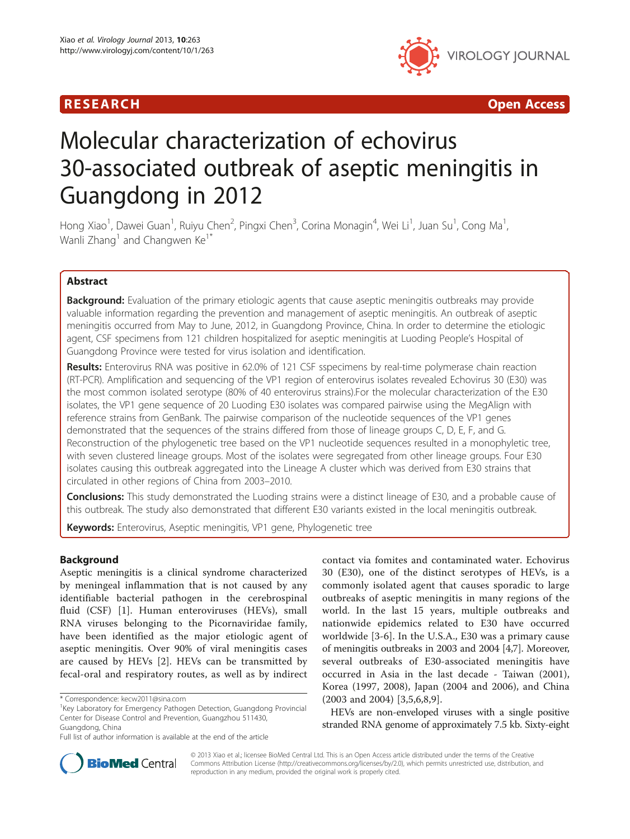## R E S EAR CH Open Access



# Molecular characterization of echovirus 30-associated outbreak of aseptic meningitis in Guangdong in 2012

Hong Xiao<sup>1</sup>, Dawei Guan<sup>1</sup>, Ruiyu Chen<sup>2</sup>, Pingxi Chen<sup>3</sup>, Corina Monagin<sup>4</sup>, Wei Li<sup>1</sup>, Juan Su<sup>1</sup>, Cong Ma<sup>1</sup> , Wanli Zhang<sup>1</sup> and Changwen  $Ke^{1*}$ 

## Abstract

**Background:** Evaluation of the primary etiologic agents that cause aseptic meningitis outbreaks may provide valuable information regarding the prevention and management of aseptic meningitis. An outbreak of aseptic meningitis occurred from May to June, 2012, in Guangdong Province, China. In order to determine the etiologic agent, CSF specimens from 121 children hospitalized for aseptic meningitis at Luoding People's Hospital of Guangdong Province were tested for virus isolation and identification.

Results: Enterovirus RNA was positive in 62.0% of 121 CSF sspecimens by real-time polymerase chain reaction (RT-PCR). Amplification and sequencing of the VP1 region of enterovirus isolates revealed Echovirus 30 (E30) was the most common isolated serotype (80% of 40 enterovirus strains).For the molecular characterization of the E30 isolates, the VP1 gene sequence of 20 Luoding E30 isolates was compared pairwise using the MegAlign with reference strains from GenBank. The pairwise comparison of the nucleotide sequences of the VP1 genes demonstrated that the sequences of the strains differed from those of lineage groups C, D, E, F, and G. Reconstruction of the phylogenetic tree based on the VP1 nucleotide sequences resulted in a monophyletic tree, with seven clustered lineage groups. Most of the isolates were segregated from other lineage groups. Four E30 isolates causing this outbreak aggregated into the Lineage A cluster which was derived from E30 strains that circulated in other regions of China from 2003–2010.

**Conclusions:** This study demonstrated the Luoding strains were a distinct lineage of E30, and a probable cause of this outbreak. The study also demonstrated that different E30 variants existed in the local meningitis outbreak.

Keywords: Enterovirus, Aseptic meningitis, VP1 gene, Phylogenetic tree

## Background

Aseptic meningitis is a clinical syndrome characterized by meningeal inflammation that is not caused by any identifiable bacterial pathogen in the cerebrospinal fluid (CSF) [[1\]](#page-6-0). Human enteroviruses (HEVs), small RNA viruses belonging to the Picornaviridae family, have been identified as the major etiologic agent of aseptic meningitis. Over 90% of viral meningitis cases are caused by HEVs [[2](#page-6-0)]. HEVs can be transmitted by fecal-oral and respiratory routes, as well as by indirect contact via fomites and contaminated water. Echovirus 30 (E30), one of the distinct serotypes of HEVs, is a commonly isolated agent that causes sporadic to large outbreaks of aseptic meningitis in many regions of the world. In the last 15 years, multiple outbreaks and nationwide epidemics related to E30 have occurred worldwide [\[3](#page-7-0)-[6](#page-7-0)]. In the U.S.A., E30 was a primary cause of meningitis outbreaks in 2003 and 2004 [\[4,7\]](#page-7-0). Moreover, several outbreaks of E30-associated meningitis have occurred in Asia in the last decade - Taiwan (2001), Korea (1997, 2008), Japan (2004 and 2006), and China (2003 and 2004) [[3,5,6](#page-7-0),[8,9\]](#page-7-0).

HEVs are non-enveloped viruses with a single positive stranded RNA genome of approximately 7.5 kb. Sixty-eight



© 2013 Xiao et al.; licensee BioMed Central Ltd. This is an Open Access article distributed under the terms of the Creative Commons Attribution License [\(http://creativecommons.org/licenses/by/2.0\)](http://creativecommons.org/licenses/by/2.0), which permits unrestricted use, distribution, and reproduction in any medium, provided the original work is properly cited.

<sup>\*</sup> Correspondence: [kecw2011@sina.com](mailto:kecw2011@sina.com) <sup>1</sup>

<sup>&</sup>lt;sup>1</sup>Key Laboratory for Emergency Pathogen Detection, Guangdong Provincial Center for Disease Control and Prevention, Guangzhou 511430, Guangdong, China

Full list of author information is available at the end of the article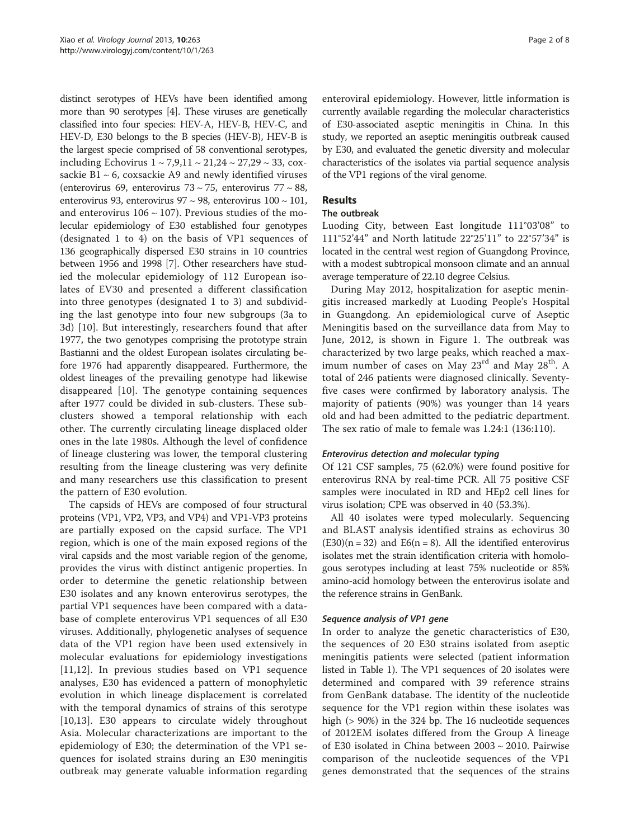distinct serotypes of HEVs have been identified among more than 90 serotypes [\[4](#page-7-0)]. These viruses are genetically classified into four species: HEV-A, HEV-B, HEV-C, and HEV-D, E30 belongs to the B species (HEV-B), HEV-B is the largest specie comprised of 58 conventional serotypes, including Echovirus  $1 \sim 7,9,11 \sim 21,24 \sim 27,29 \sim 33$ , coxsackie B $1 \sim 6$ , coxsackie A9 and newly identified viruses (enterovirus 69, enterovirus 73  $\sim$  75, enterovirus 77  $\sim$  88, enterovirus 93, enterovirus 97 ~ 98, enterovirus  $100 \sim 101$ , and enterovirus  $106 \sim 107$ ). Previous studies of the molecular epidemiology of E30 established four genotypes (designated 1 to 4) on the basis of VP1 sequences of 136 geographically dispersed E30 strains in 10 countries between 1956 and 1998 [[7](#page-7-0)]. Other researchers have studied the molecular epidemiology of 112 European isolates of EV30 and presented a different classification into three genotypes (designated 1 to 3) and subdividing the last genotype into four new subgroups (3a to 3d) [\[10](#page-7-0)]. But interestingly, researchers found that after 1977, the two genotypes comprising the prototype strain Bastianni and the oldest European isolates circulating before 1976 had apparently disappeared. Furthermore, the oldest lineages of the prevailing genotype had likewise disappeared [[10\]](#page-7-0). The genotype containing sequences after 1977 could be divided in sub-clusters. These subclusters showed a temporal relationship with each other. The currently circulating lineage displaced older ones in the late 1980s. Although the level of confidence of lineage clustering was lower, the temporal clustering resulting from the lineage clustering was very definite and many researchers use this classification to present the pattern of E30 evolution.

The capsids of HEVs are composed of four structural proteins (VP1, VP2, VP3, and VP4) and VP1-VP3 proteins are partially exposed on the capsid surface. The VP1 region, which is one of the main exposed regions of the viral capsids and the most variable region of the genome, provides the virus with distinct antigenic properties. In order to determine the genetic relationship between E30 isolates and any known enterovirus serotypes, the partial VP1 sequences have been compared with a database of complete enterovirus VP1 sequences of all E30 viruses. Additionally, phylogenetic analyses of sequence data of the VP1 region have been used extensively in molecular evaluations for epidemiology investigations [[11,12](#page-7-0)]. In previous studies based on VP1 sequence analyses, E30 has evidenced a pattern of monophyletic evolution in which lineage displacement is correlated with the temporal dynamics of strains of this serotype [[10,13](#page-7-0)]. E30 appears to circulate widely throughout Asia. Molecular characterizations are important to the epidemiology of E30; the determination of the VP1 sequences for isolated strains during an E30 meningitis outbreak may generate valuable information regarding enteroviral epidemiology. However, little information is currently available regarding the molecular characteristics of E30-associated aseptic meningitis in China. In this study, we reported an aseptic meningitis outbreak caused by E30, and evaluated the genetic diversity and molecular characteristics of the isolates via partial sequence analysis of the VP1 regions of the viral genome.

## Results

## The outbreak

Luoding City, between East longitude 111°03'08" to 111°52'44" and North latitude 22°25'11" to 22°57'34" is located in the central west region of Guangdong Province, with a modest subtropical monsoon climate and an annual average temperature of 22.10 degree Celsius.

During May 2012, hospitalization for aseptic meningitis increased markedly at Luoding People's Hospital in Guangdong. An epidemiological curve of Aseptic Meningitis based on the surveillance data from May to June, 2012, is shown in Figure [1](#page-2-0). The outbreak was characterized by two large peaks, which reached a maximum number of cases on May  $23^{\text{rd}}$  and May  $28^{\text{th}}$ . A total of 246 patients were diagnosed clinically. Seventyfive cases were confirmed by laboratory analysis. The majority of patients (90%) was younger than 14 years old and had been admitted to the pediatric department. The sex ratio of male to female was 1.24:1 (136:110).

## Enterovirus detection and molecular typing

Of 121 CSF samples, 75 (62.0%) were found positive for enterovirus RNA by real-time PCR. All 75 positive CSF samples were inoculated in RD and HEp2 cell lines for virus isolation; CPE was observed in 40 (53.3%).

All 40 isolates were typed molecularly. Sequencing and BLAST analysis identified strains as echovirus 30  $(E30)(n = 32)$  and  $E6(n = 8)$ . All the identified enterovirus isolates met the strain identification criteria with homologous serotypes including at least 75% nucleotide or 85% amino-acid homology between the enterovirus isolate and the reference strains in GenBank.

## Sequence analysis of VP1 gene

In order to analyze the genetic characteristics of E30, the sequences of 20 E30 strains isolated from aseptic meningitis patients were selected (patient information listed in Table [1\)](#page-2-0). The VP1 sequences of 20 isolates were determined and compared with 39 reference strains from GenBank database. The identity of the nucleotide sequence for the VP1 region within these isolates was high (> 90%) in the 324 bp. The 16 nucleotide sequences of 2012EM isolates differed from the Group A lineage of E30 isolated in China between 2003 ~ 2010. Pairwise comparison of the nucleotide sequences of the VP1 genes demonstrated that the sequences of the strains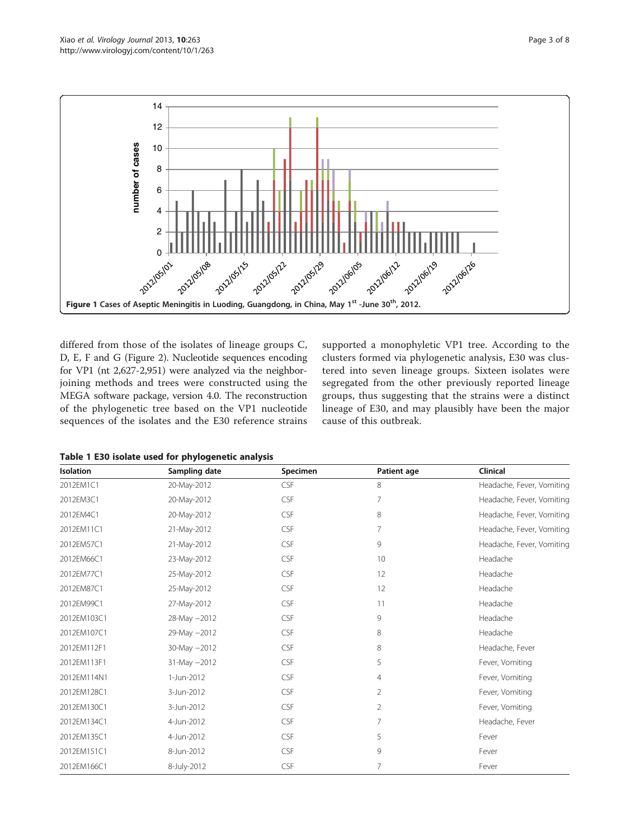<span id="page-2-0"></span>

differed from those of the isolates of lineage groups C, D, E, F and G (Figure [2](#page-3-0)). Nucleotide sequences encoding for VP1 (nt 2,627-2,951) were analyzed via the neighborjoining methods and trees were constructed using the MEGA software package, version 4.0. The reconstruction of the phylogenetic tree based on the VP1 nucleotide sequences of the isolates and the E30 reference strains

supported a monophyletic VP1 tree. According to the clusters formed via phylogenetic analysis, E30 was clustered into seven lineage groups. Sixteen isolates were segregated from the other previously reported lineage groups, thus suggesting that the strains were a distinct lineage of E30, and may plausibly have been the major cause of this outbreak.

|  |  |  |  |  |  |  | Table 1 E30 isolate used for phylogenetic analysis |
|--|--|--|--|--|--|--|----------------------------------------------------|
|--|--|--|--|--|--|--|----------------------------------------------------|

| <b>Isolation</b> | Sampling date | Specimen   | Patient age    | Clinical                  |
|------------------|---------------|------------|----------------|---------------------------|
| 2012EM1C1        | 20-May-2012   | CSF        | 8              | Headache, Fever, Vomiting |
| 2012EM3C1        | 20-May-2012   | CSF        | 7              | Headache, Fever, Vomiting |
| 2012EM4C1        | 20-May-2012   | CSF        | 8              | Headache, Fever, Vomiting |
| 2012EM11C1       | 21-May-2012   | CSF        | 7              | Headache, Fever, Vomiting |
| 2012EM57C1       | 21-May-2012   | CSF        | 9              | Headache, Fever, Vomiting |
| 2012EM66C1       | 23-May-2012   | CSF        | 10             | Headache                  |
| 2012EM77C1       | 25-May-2012   | CSF        | 12             | Headache                  |
| 2012EM87C1       | 25-May-2012   | CSF        | 12             | Headache                  |
| 2012EM99C1       | 27-May-2012   | CSF        | 11             | Headache                  |
| 2012EM103C1      | 28-May -2012  | <b>CSF</b> | 9              | Headache                  |
| 2012EM107C1      | 29-May -2012  | CSF        | 8              | Headache                  |
| 2012EM112F1      | 30-May -2012  | CSF        | 8              | Headache, Fever           |
| 2012EM113F1      | 31-May -2012  | CSF        | 5              | Fever, Vomiting           |
| 2012EM114N1      | 1-Jun-2012    | CSF        | $\overline{4}$ | Fever, Vomiting           |
| 2012EM128C1      | 3-Jun-2012    | <b>CSF</b> | 2              | Fever, Vomiting           |
| 2012EM130C1      | 3-Jun-2012    | CSF        | 2              | Fever, Vomiting           |
| 2012EM134C1      | 4-Jun-2012    | CSF        | 7              | Headache, Fever           |
| 2012EM135C1      | 4-Jun-2012    | CSF        | 5              | Fever                     |
| 2012EM151C1      | 8-Jun-2012    | CSF        | 9              | Fever                     |
| 2012EM166C1      | 8-July-2012   | CSF        | 7              | Fever                     |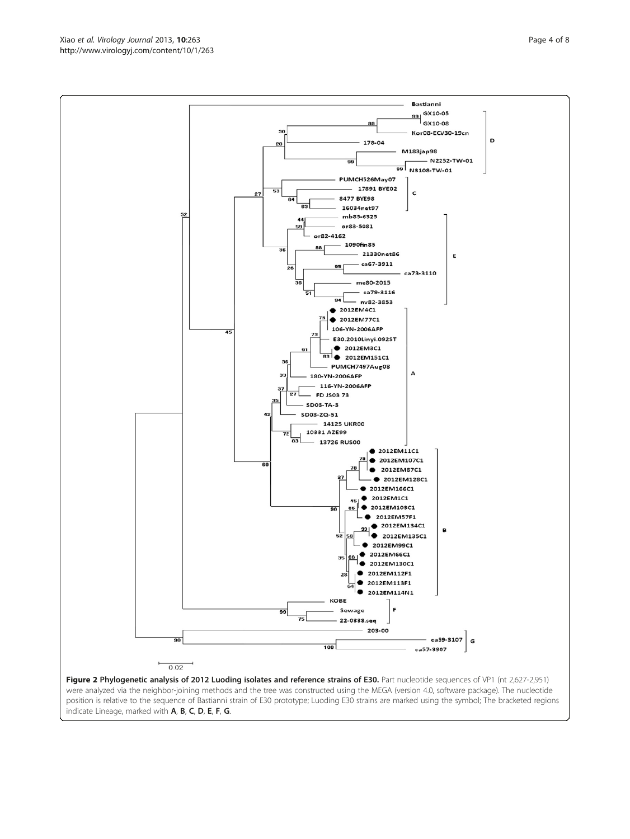were analyzed via the neighbor-joining methods and the tree was constructed using the MEGA (version 4.0, software package). The nucleotide position is relative to the sequence of Bastianni strain of E30 prototype; Luoding E30 strains are marked using the symbol; The bracketed regions indicate Lineage, marked with A, B, C, D, E, F, G.

2012EM1C1  $\bullet$  2012EM103C1 2012EM57F1  $\bullet$  2012EM134C1 B  $\bullet$  2012EM135C1 2012EM99C1  $\bullet$  2012EM66C1 66 35  $0.2012EM130C1$ 2012EM112F1  $\bullet$  $28$ 2012EM113F1 . 2012EM114N1 **KOBE** 99 Sewage 22-0338.seq 203-00 ca59-3107 G 100 ca57-3907  $\vdash$  $0.02$ Figure 2 Phylogenetic analysis of 2012 Luoding isolates and reference strains of E30. Part nucleotide sequences of VP1 (nt 2,627-2,951)

<span id="page-3-0"></span>PUMCH526May07 17891 BYE02  $27$ 8477 BYE98  $\overline{a}$ 16034net97 52 mb85-6325 or83-5081 or82-4162 1090fin85 21330net86 ca67-3911

 $35$ 

60

 $\overline{A}$ 



**Bastianni** 99 GX10-05<br>GX10-08

M183jap98

 $\mathsf{c}$ 

ca73-3110

 $\Delta$ 

2012EM11C1 2012EM107C1

2012EM87C1  $\bullet$  2012EM128C1 2012EM166C1

99 N3108-TW-01

Kor08-ECV30-19cn

 $-$  N2252-TW-01

Ė

D

99

178-04

me80-2015 ca79-3116

 $-$  nv82-3853  $\bullet$  2012EM4C1  $\bullet$  2012EM77C1 106-YN-2006AFP

E30.2010Linyi.092ST  $\bullet$  2012EM3C1 ● 2012EM151C1 PUMCH7497Aug08

95

94

180-YN-2006AFP 116-YN-2006AFP **FD JS03 73** 

**14125 UKR00** 10331 AZE99 13726 RUS00

**SD03-TA-3** SD03-ZQ-51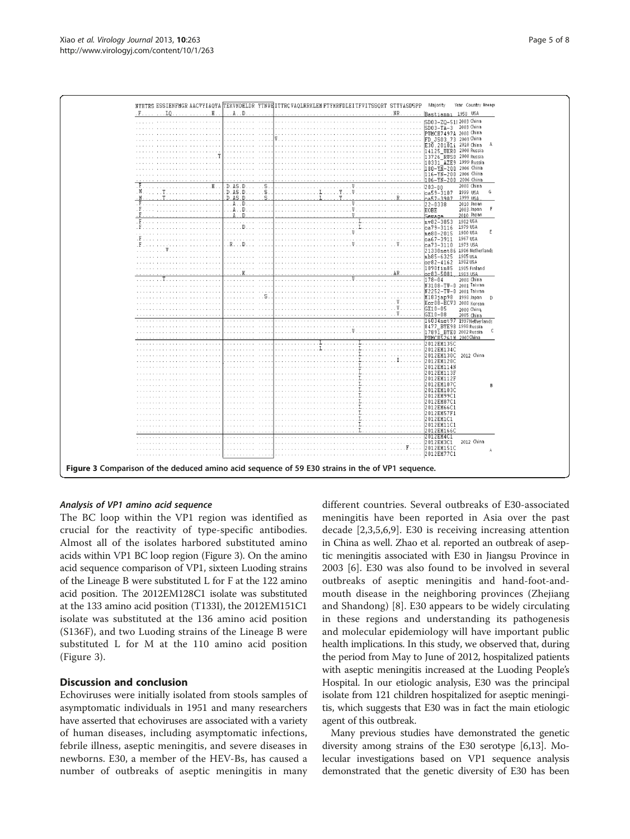

## Analysis of VP1 amino acid sequence

The BC loop within the VP1 region was identified as crucial for the reactivity of type-specific antibodies. Almost all of the isolates harbored substituted amino acids within VP1 BC loop region (Figure 3). On the amino acid sequence comparison of VP1, sixteen Luoding strains of the Lineage B were substituted L for F at the 122 amino acid position. The 2012EM128C1 isolate was substituted at the 133 amino acid position (T133I), the 2012EM151C1 isolate was substituted at the 136 amino acid position (S136F), and two Luoding strains of the Lineage B were substituted L for M at the 110 amino acid position (Figure 3).

## Discussion and conclusion

Echoviruses were initially isolated from stools samples of asymptomatic individuals in 1951 and many researchers have asserted that echoviruses are associated with a variety of human diseases, including asymptomatic infections, febrile illness, aseptic meningitis, and severe diseases in newborns. E30, a member of the HEV-Bs, has caused a number of outbreaks of aseptic meningitis in many different countries. Several outbreaks of E30-associated meningitis have been reported in Asia over the past decade [\[2](#page-6-0),[3,5,6,9\]](#page-7-0). E30 is receiving increasing attention in China as well. Zhao et al. reported an outbreak of aseptic meningitis associated with E30 in Jiangsu Province in 2003 [[6\]](#page-7-0). E30 was also found to be involved in several outbreaks of aseptic meningitis and hand-foot-andmouth disease in the neighboring provinces (Zhejiang and Shandong) [[8\]](#page-7-0). E30 appears to be widely circulating in these regions and understanding its pathogenesis and molecular epidemiology will have important public health implications. In this study, we observed that, during the period from May to June of 2012, hospitalized patients with aseptic meningitis increased at the Luoding People's Hospital. In our etiologic analysis, E30 was the principal isolate from 121 children hospitalized for aseptic meningitis, which suggests that E30 was in fact the main etiologic agent of this outbreak.

Many previous studies have demonstrated the genetic diversity among strains of the E30 serotype [[6,13](#page-7-0)]. Molecular investigations based on VP1 sequence analysis demonstrated that the genetic diversity of E30 has been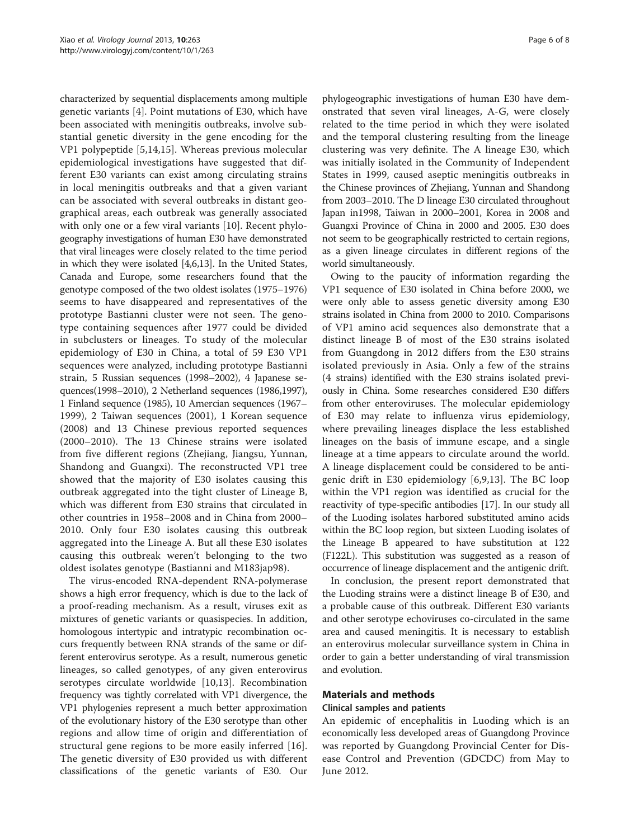characterized by sequential displacements among multiple genetic variants [[4\]](#page-7-0). Point mutations of E30, which have been associated with meningitis outbreaks, involve substantial genetic diversity in the gene encoding for the VP1 polypeptide [\[5](#page-7-0),[14,15\]](#page-7-0). Whereas previous molecular epidemiological investigations have suggested that different E30 variants can exist among circulating strains in local meningitis outbreaks and that a given variant can be associated with several outbreaks in distant geographical areas, each outbreak was generally associated with only one or a few viral variants [[10\]](#page-7-0). Recent phylogeography investigations of human E30 have demonstrated that viral lineages were closely related to the time period in which they were isolated [[4,6,13\]](#page-7-0). In the United States, Canada and Europe, some researchers found that the genotype composed of the two oldest isolates (1975–1976) seems to have disappeared and representatives of the prototype Bastianni cluster were not seen. The genotype containing sequences after 1977 could be divided in subclusters or lineages. To study of the molecular epidemiology of E30 in China, a total of 59 E30 VP1 sequences were analyzed, including prototype Bastianni strain, 5 Russian sequences (1998–2002), 4 Japanese sequences(1998–2010), 2 Netherland sequences (1986,1997), 1 Finland sequence (1985), 10 Amercian sequences (1967– 1999), 2 Taiwan sequences (2001), 1 Korean sequence (2008) and 13 Chinese previous reported sequences (2000–2010). The 13 Chinese strains were isolated from five different regions (Zhejiang, Jiangsu, Yunnan, Shandong and Guangxi). The reconstructed VP1 tree showed that the majority of E30 isolates causing this outbreak aggregated into the tight cluster of Lineage B, which was different from E30 strains that circulated in other countries in 1958–2008 and in China from 2000– 2010. Only four E30 isolates causing this outbreak aggregated into the Lineage A. But all these E30 isolates causing this outbreak weren't belonging to the two oldest isolates genotype (Bastianni and M183jap98).

The virus-encoded RNA-dependent RNA-polymerase shows a high error frequency, which is due to the lack of a proof-reading mechanism. As a result, viruses exit as mixtures of genetic variants or quasispecies. In addition, homologous intertypic and intratypic recombination occurs frequently between RNA strands of the same or different enterovirus serotype. As a result, numerous genetic lineages, so called genotypes, of any given enterovirus serotypes circulate worldwide [[10,13](#page-7-0)]. Recombination frequency was tightly correlated with VP1 divergence, the VP1 phylogenies represent a much better approximation of the evolutionary history of the E30 serotype than other regions and allow time of origin and differentiation of structural gene regions to be more easily inferred [[16](#page-7-0)]. The genetic diversity of E30 provided us with different classifications of the genetic variants of E30. Our

phylogeographic investigations of human E30 have demonstrated that seven viral lineages, A-G, were closely related to the time period in which they were isolated and the temporal clustering resulting from the lineage clustering was very definite. The A lineage E30, which was initially isolated in the Community of Independent States in 1999, caused aseptic meningitis outbreaks in the Chinese provinces of Zhejiang, Yunnan and Shandong from 2003–2010. The D lineage E30 circulated throughout Japan in1998, Taiwan in 2000–2001, Korea in 2008 and Guangxi Province of China in 2000 and 2005. E30 does not seem to be geographically restricted to certain regions, as a given lineage circulates in different regions of the world simultaneously.

Owing to the paucity of information regarding the VP1 sequence of E30 isolated in China before 2000, we were only able to assess genetic diversity among E30 strains isolated in China from 2000 to 2010. Comparisons of VP1 amino acid sequences also demonstrate that a distinct lineage B of most of the E30 strains isolated from Guangdong in 2012 differs from the E30 strains isolated previously in Asia. Only a few of the strains (4 strains) identified with the E30 strains isolated previously in China. Some researches considered E30 differs from other enteroviruses. The molecular epidemiology of E30 may relate to influenza virus epidemiology, where prevailing lineages displace the less established lineages on the basis of immune escape, and a single lineage at a time appears to circulate around the world. A lineage displacement could be considered to be antigenic drift in E30 epidemiology [\[6](#page-7-0),[9,13\]](#page-7-0). The BC loop within the VP1 region was identified as crucial for the reactivity of type-specific antibodies [\[17\]](#page-7-0). In our study all of the Luoding isolates harbored substituted amino acids within the BC loop region, but sixteen Luoding isolates of the Lineage B appeared to have substitution at 122 (F122L). This substitution was suggested as a reason of occurrence of lineage displacement and the antigenic drift.

In conclusion, the present report demonstrated that the Luoding strains were a distinct lineage B of E30, and a probable cause of this outbreak. Different E30 variants and other serotype echoviruses co-circulated in the same area and caused meningitis. It is necessary to establish an enterovirus molecular surveillance system in China in order to gain a better understanding of viral transmission and evolution.

## Materials and methods

## Clinical samples and patients

An epidemic of encephalitis in Luoding which is an economically less developed areas of Guangdong Province was reported by Guangdong Provincial Center for Disease Control and Prevention (GDCDC) from May to June 2012.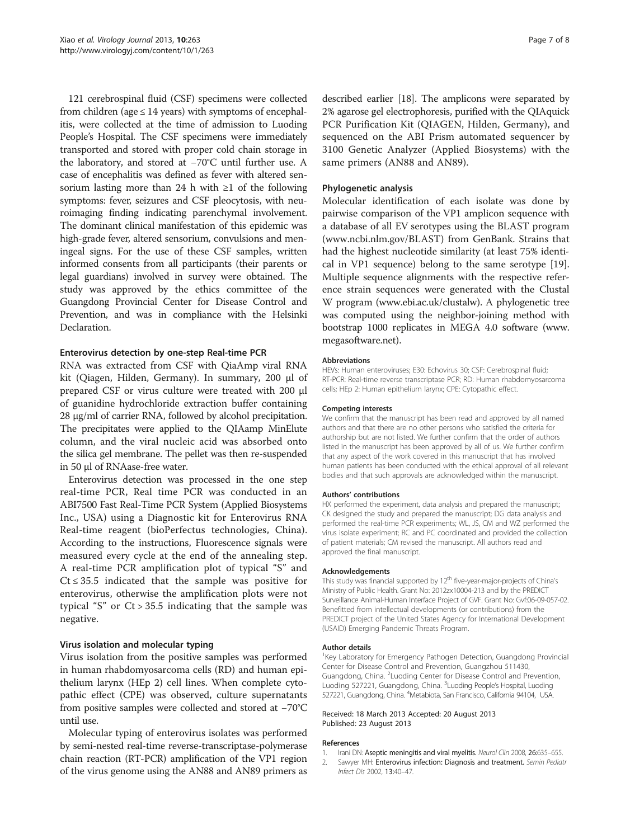<span id="page-6-0"></span>121 cerebrospinal fluid (CSF) specimens were collected from children (age  $\leq$  14 years) with symptoms of encephalitis, were collected at the time of admission to Luoding People's Hospital. The CSF specimens were immediately transported and stored with proper cold chain storage in the laboratory, and stored at −70°C until further use. A case of encephalitis was defined as fever with altered sensorium lasting more than 24 h with  $\geq 1$  of the following symptoms: fever, seizures and CSF pleocytosis, with neuroimaging finding indicating parenchymal involvement. The dominant clinical manifestation of this epidemic was high-grade fever, altered sensorium, convulsions and meningeal signs. For the use of these CSF samples, written informed consents from all participants (their parents or legal guardians) involved in survey were obtained. The study was approved by the ethics committee of the Guangdong Provincial Center for Disease Control and Prevention, and was in compliance with the Helsinki Declaration.

## Enterovirus detection by one-step Real-time PCR

RNA was extracted from CSF with QiaAmp viral RNA kit (Qiagen, Hilden, Germany). In summary, 200 μl of prepared CSF or virus culture were treated with 200 μl of guanidine hydrochloride extraction buffer containing 28 μg/ml of carrier RNA, followed by alcohol precipitation. The precipitates were applied to the QIAamp MinElute column, and the viral nucleic acid was absorbed onto the silica gel membrane. The pellet was then re-suspended in 50 μl of RNAase-free water.

Enterovirus detection was processed in the one step real-time PCR, Real time PCR was conducted in an ABI7500 Fast Real-Time PCR System (Applied Biosystems Inc., USA) using a Diagnostic kit for Enterovirus RNA Real-time reagent (bioPerfectus technologies, China). According to the instructions, Fluorescence signals were measured every cycle at the end of the annealing step. A real-time PCR amplification plot of typical "S" and  $Ct \leq 35.5$  indicated that the sample was positive for enterovirus, otherwise the amplification plots were not typical "S" or  $Ct > 35.5$  indicating that the sample was negative.

## Virus isolation and molecular typing

Virus isolation from the positive samples was performed in human rhabdomyosarcoma cells (RD) and human epithelium larynx (HEp 2) cell lines. When complete cytopathic effect (CPE) was observed, culture supernatants from positive samples were collected and stored at −70°C until use.

Molecular typing of enterovirus isolates was performed by semi-nested real-time reverse-transcriptase-polymerase chain reaction (RT-PCR) amplification of the VP1 region of the virus genome using the AN88 and AN89 primers as described earlier [\[18\]](#page-7-0). The amplicons were separated by 2% agarose gel electrophoresis, purified with the QIAquick PCR Purification Kit (QIAGEN, Hilden, Germany), and sequenced on the ABI Prism automated sequencer by 3100 Genetic Analyzer (Applied Biosystems) with the same primers (AN88 and AN89).

## Phylogenetic analysis

Molecular identification of each isolate was done by pairwise comparison of the VP1 amplicon sequence with a database of all EV serotypes using the BLAST program ([www.ncbi.nlm.gov/BLAST\)](http://www.ncbi.nlm.gov/BLAST) from GenBank. Strains that had the highest nucleotide similarity (at least 75% identical in VP1 sequence) belong to the same serotype [\[19](#page-7-0)]. Multiple sequence alignments with the respective reference strain sequences were generated with the Clustal W program [\(www.ebi.ac.uk/clustalw](http://www.ebi.ac.uk/clustalw)). A phylogenetic tree was computed using the neighbor-joining method with bootstrap 1000 replicates in MEGA 4.0 software [\(www.](http://www.megasoftware.net) [megasoftware.net](http://www.megasoftware.net)).

#### Abbreviations

HEVs: Human enteroviruses; E30: Echovirus 30; CSF: Cerebrospinal fluid; RT-PCR: Real-time reverse transcriptase PCR; RD: Human rhabdomyosarcoma cells; HEp 2: Human epithelium larynx; CPE: Cytopathic effect.

#### Competing interests

We confirm that the manuscript has been read and approved by all named authors and that there are no other persons who satisfied the criteria for authorship but are not listed. We further confirm that the order of authors listed in the manuscript has been approved by all of us. We further confirm that any aspect of the work covered in this manuscript that has involved human patients has been conducted with the ethical approval of all relevant bodies and that such approvals are acknowledged within the manuscript.

#### Authors' contributions

HX performed the experiment, data analysis and prepared the manuscript; CK designed the study and prepared the manuscript; DG data analysis and performed the real-time PCR experiments; WL, JS, CM and WZ performed the virus isolate experiment; RC and PC coordinated and provided the collection of patient materials; CM revised the manuscript. All authors read and approved the final manuscript.

#### Acknowledgements

This study was financial supported by 12<sup>th</sup> five-year-major-projects of China's Ministry of Public Health. Grant No: 2012zx10004-213 and by the PREDICT Surveillance Animal-Human Interface Project of GVF. Grant No: Gvf:06-09-057-02. Benefitted from intellectual developments (or contributions) from the PREDICT project of the United States Agency for International Development (USAID) Emerging Pandemic Threats Program.

#### Author details

<sup>1</sup>Key Laboratory for Emergency Pathogen Detection, Guangdong Provincial Center for Disease Control and Prevention, Guangzhou 511430, Guangdong, China. <sup>2</sup> Luoding Center for Disease Control and Prevention, Luoding 527221, Guangdong, China. <sup>3</sup>Luoding People's Hospital, Luoding 527221, Guangdong, China. <sup>4</sup>Metabiota, San Francisco, California 94104, USA

#### Received: 18 March 2013 Accepted: 20 August 2013 Published: 23 August 2013

#### References

- 1. Irani DN: Aseptic meningitis and viral myelitis. Neurol Clin 2008, 26:635-655.
- 2. Sawyer MH: Enterovirus infection: Diagnosis and treatment. Semin Pediatr Infect Dis 2002, 13:40–47.